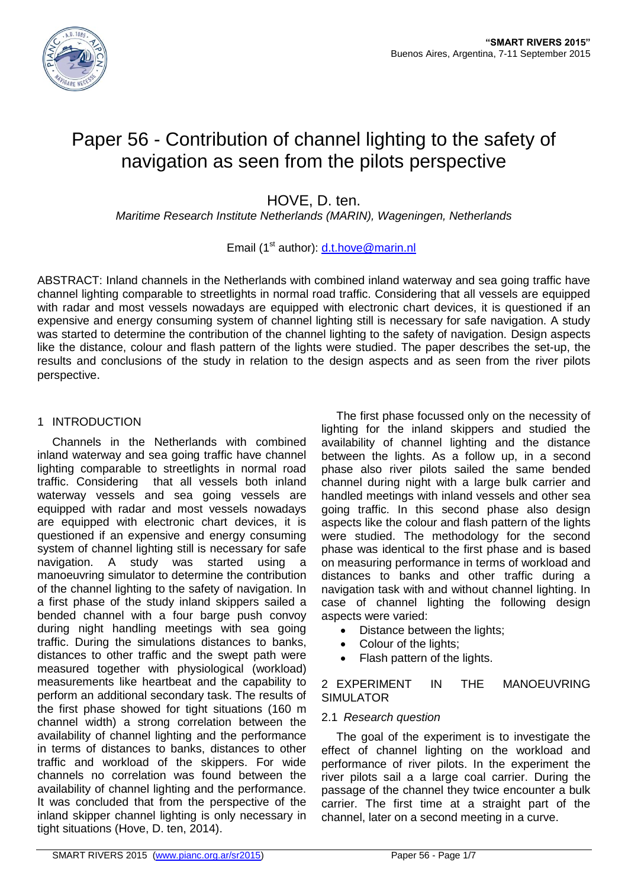

# Paper 56 - Contribution of channel lighting to the safety of navigation as seen from the pilots perspective

HOVE, D. ten.

*Maritime Research Institute Netherlands (MARIN), Wageningen, Netherlands*

# Email (1<sup>st</sup> author): [d.t.hove@marin.nl](mailto:d.t.hove@marin.nl)

ABSTRACT: Inland channels in the Netherlands with combined inland waterway and sea going traffic have channel lighting comparable to streetlights in normal road traffic. Considering that all vessels are equipped with radar and most vessels nowadays are equipped with electronic chart devices, it is questioned if an expensive and energy consuming system of channel lighting still is necessary for safe navigation. A study was started to determine the contribution of the channel lighting to the safety of navigation. Design aspects like the distance, colour and flash pattern of the lights were studied. The paper describes the set-up, the results and conclusions of the study in relation to the design aspects and as seen from the river pilots perspective.

# 1 INTRODUCTION

Channels in the Netherlands with combined inland waterway and sea going traffic have channel lighting comparable to streetlights in normal road traffic. Considering that all vessels both inland waterway vessels and sea going vessels are equipped with radar and most vessels nowadays are equipped with electronic chart devices, it is questioned if an expensive and energy consuming system of channel lighting still is necessary for safe navigation. A study was started using a manoeuvring simulator to determine the contribution of the channel lighting to the safety of navigation. In a first phase of the study inland skippers sailed a bended channel with a four barge push convoy during night handling meetings with sea going traffic. During the simulations distances to banks, distances to other traffic and the swept path were measured together with physiological (workload) measurements like heartbeat and the capability to perform an additional secondary task. The results of the first phase showed for tight situations (160 m channel width) a strong correlation between the availability of channel lighting and the performance in terms of distances to banks, distances to other traffic and workload of the skippers. For wide channels no correlation was found between the availability of channel lighting and the performance. It was concluded that from the perspective of the inland skipper channel lighting is only necessary in tight situations (Hove, D. ten, 2014).

The first phase focussed only on the necessity of lighting for the inland skippers and studied the availability of channel lighting and the distance between the lights. As a follow up, in a second phase also river pilots sailed the same bended channel during night with a large bulk carrier and handled meetings with inland vessels and other sea going traffic. In this second phase also design aspects like the colour and flash pattern of the lights were studied. The methodology for the second phase was identical to the first phase and is based on measuring performance in terms of workload and distances to banks and other traffic during a navigation task with and without channel lighting. In case of channel lighting the following design aspects were varied:

- Distance between the lights;
- Colour of the lights;
- Flash pattern of the lights.

2 EXPERIMENT IN THE MANOEUVRING SIMULATOR

# 2.1 *Research question*

The goal of the experiment is to investigate the effect of channel lighting on the workload and performance of river pilots. In the experiment the river pilots sail a a large coal carrier. During the passage of the channel they twice encounter a bulk carrier. The first time at a straight part of the channel, later on a second meeting in a curve.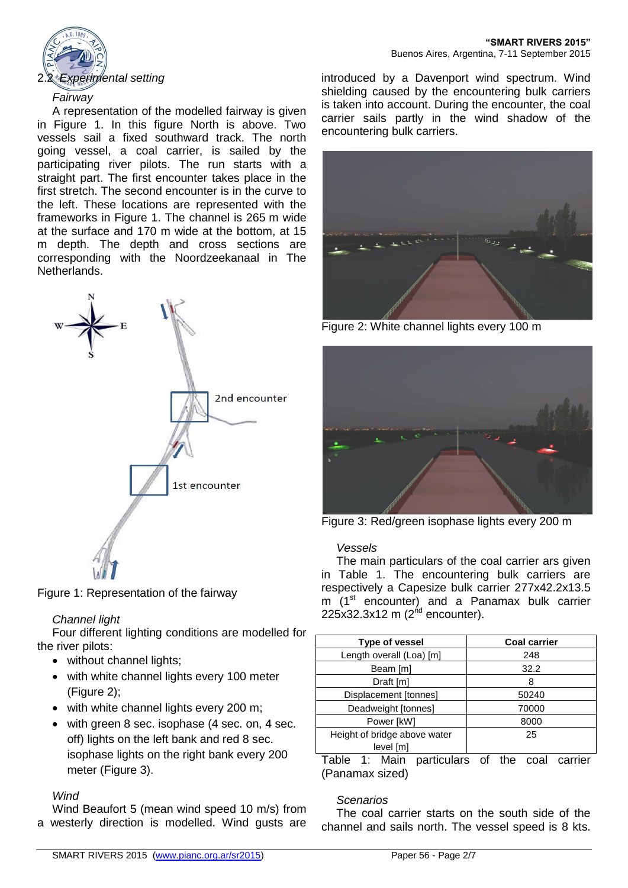

# *Fairway*

A representation of the modelled fairway is given in Figure 1. In this figure North is above. Two vessels sail a fixed southward track. The north going vessel, a coal carrier, is sailed by the participating river pilots. The run starts with a straight part. The first encounter takes place in the first stretch. The second encounter is in the curve to the left. These locations are represented with the frameworks in Figure 1. The channel is 265 m wide at the surface and 170 m wide at the bottom, at 15 m depth. The depth and cross sections are corresponding with the Noordzeekanaal in The Netherlands.



Figure 1: Representation of the fairway

# *Channel light*

Four different lighting conditions are modelled for the river pilots:

- without channel lights;
- with white channel lights every 100 meter (Figure 2);
- with white channel lights every 200 m;
- with green 8 sec. isophase (4 sec. on, 4 sec. off) lights on the left bank and red 8 sec. isophase lights on the right bank every 200 meter (Figure 3).

# *Wind*

Wind Beaufort 5 (mean wind speed 10 m/s) from a westerly direction is modelled. Wind gusts are

introduced by a Davenport wind spectrum. Wind shielding caused by the encountering bulk carriers is taken into account. During the encounter, the coal carrier sails partly in the wind shadow of the encountering bulk carriers.



Figure 2: White channel lights every 100 m



Figure 3: Red/green isophase lights every 200 m

#### *Vessels*

The main particulars of the coal carrier ars given in Table 1. The encountering bulk carriers are respectively a Capesize bulk carrier 277x42.2x13.5 m (1<sup>st</sup> encounter) and a Panamax bulk carrier 225x32.3x12 m (2<sup>nd</sup> encounter).

| Type of vessel               | <b>Coal carrier</b> |  |
|------------------------------|---------------------|--|
| Length overall (Loa) [m]     | 248                 |  |
| Beam [m]                     | 32.2                |  |
| Draft [m]                    | 8                   |  |
| Displacement [tonnes]        | 50240               |  |
| Deadweight [tonnes]          | 70000               |  |
| Power [kW]                   | 8000                |  |
| Height of bridge above water | 25                  |  |
| level [m]                    |                     |  |

Table 1: Main particulars of the coal carrier (Panamax sized)

# *Scenarios*

The coal carrier starts on the south side of the channel and sails north. The vessel speed is 8 kts.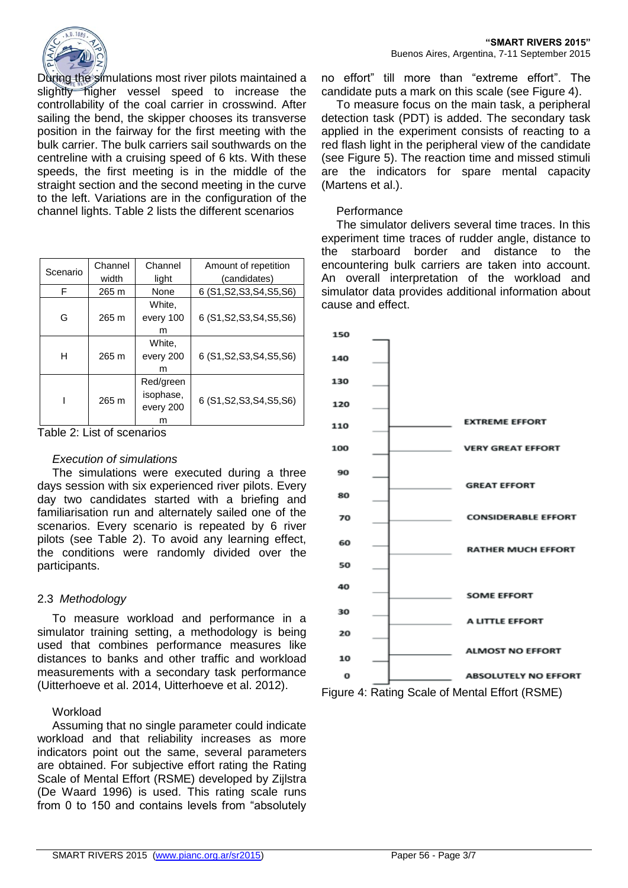

During the simulations most river pilots maintained a slightly higher vessel speed to increase the controllability of the coal carrier in crosswind. After sailing the bend, the skipper chooses its transverse position in the fairway for the first meeting with the bulk carrier. The bulk carriers sail southwards on the centreline with a cruising speed of 6 kts. With these speeds, the first meeting is in the middle of the straight section and the second meeting in the curve to the left. Variations are in the configuration of the channel lights. Table 2 lists the different scenarios

| Scenario | Channel<br>width | Channel<br>light                         | Amount of repetition<br>(candidates) |  |
|----------|------------------|------------------------------------------|--------------------------------------|--|
| F        | 265 m            | None                                     | 6 (S1, S2, S3, S4, S5, S6)           |  |
| G        | 265 m            | White.<br>every 100<br>m                 | 6 (S1, S2, S3, S4, S5, S6)           |  |
| н        | 265 m            | White.<br>every 200<br>m                 | 6 (S1, S2, S3, S4, S5, S6)           |  |
|          | 265 m            | Red/green<br>isophase,<br>every 200<br>m | 6 (S1, S2, S3, S4, S5, S6)           |  |

Table 2: List of scenarios

#### *Execution of simulations*

The simulations were executed during a three days session with six experienced river pilots. Every day two candidates started with a briefing and familiarisation run and alternately sailed one of the scenarios. Every scenario is repeated by 6 river pilots (see Table 2). To avoid any learning effect, the conditions were randomly divided over the participants.

#### 2.3 *Methodology*

To measure workload and performance in a simulator training setting, a methodology is being used that combines performance measures like distances to banks and other traffic and workload measurements with a secondary task performance (Uitterhoeve et al. 2014, Uitterhoeve et al. 2012).

#### Workload

Assuming that no single parameter could indicate workload and that reliability increases as more indicators point out the same, several parameters are obtained. For subjective effort rating the Rating Scale of Mental Effort (RSME) developed by Zijlstra (De Waard 1996) is used. This rating scale runs from 0 to 150 and contains levels from "absolutely

no effort" till more than "extreme effort". The candidate puts a mark on this scale (see Figure 4).

To measure focus on the main task, a peripheral detection task (PDT) is added. The secondary task applied in the experiment consists of reacting to a red flash light in the peripheral view of the candidate (see Figure 5). The reaction time and missed stimuli are the indicators for spare mental capacity (Martens et al.).

## **Performance**

The simulator delivers several time traces. In this experiment time traces of rudder angle, distance to the starboard border and distance to the encountering bulk carriers are taken into account. An overall interpretation of the workload and simulator data provides additional information about cause and effect.

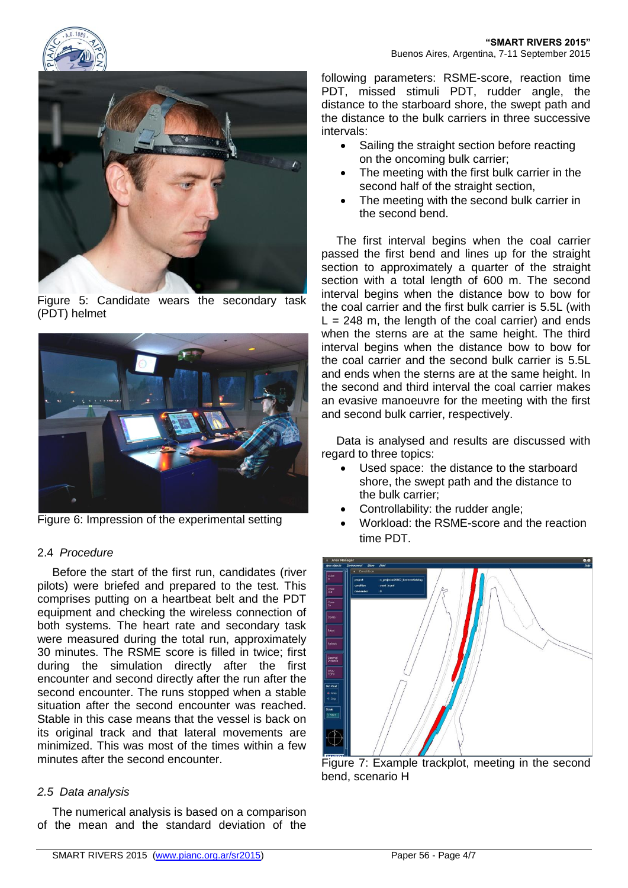



Figure 5: Candidate wears the secondary task (PDT) helmet



Figure 6: Impression of the experimental setting

# 2.4 *Procedure*

Before the start of the first run, candidates (river pilots) were briefed and prepared to the test. This comprises putting on a heartbeat belt and the PDT equipment and checking the wireless connection of both systems. The heart rate and secondary task were measured during the total run, approximately 30 minutes. The RSME score is filled in twice; first during the simulation directly after the first encounter and second directly after the run after the second encounter. The runs stopped when a stable situation after the second encounter was reached. Stable in this case means that the vessel is back on its original track and that lateral movements are minimized. This was most of the times within a few minutes after the second encounter.

# *2.5 Data analysis*

The numerical analysis is based on a comparison of the mean and the standard deviation of the

following parameters: RSME-score, reaction time PDT, missed stimuli PDT, rudder angle, the distance to the starboard shore, the swept path and the distance to the bulk carriers in three successive intervals:

- Sailing the straight section before reacting on the oncoming bulk carrier;
- The meeting with the first bulk carrier in the second half of the straight section,
- The meeting with the second bulk carrier in the second bend.

The first interval begins when the coal carrier passed the first bend and lines up for the straight section to approximately a quarter of the straight section with a total length of 600 m. The second interval begins when the distance bow to bow for the coal carrier and the first bulk carrier is 5.5L (with  $L = 248$  m, the length of the coal carrier) and ends when the sterns are at the same height. The third interval begins when the distance bow to bow for the coal carrier and the second bulk carrier is 5.5L and ends when the sterns are at the same height. In the second and third interval the coal carrier makes an evasive manoeuvre for the meeting with the first and second bulk carrier, respectively.

Data is analysed and results are discussed with regard to three topics:

- Used space: the distance to the starboard shore, the swept path and the distance to the bulk carrier;
- Controllability: the rudder angle;
- Workload: the RSME-score and the reaction time PDT.



Figure 7: Example trackplot, meeting in the second bend, scenario H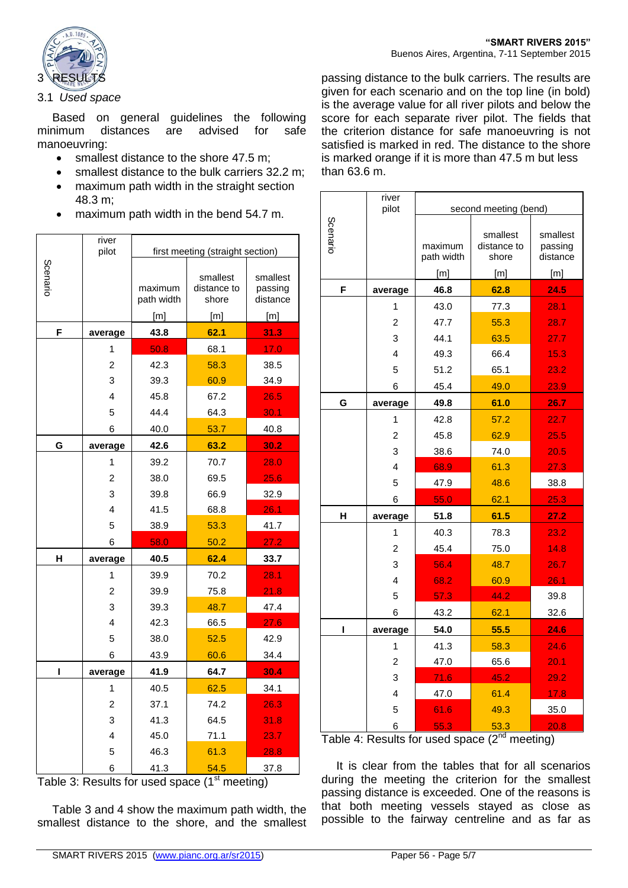

#### 3.1 *Used space*

Based on general guidelines the following minimum distances are advised for safe manoeuvring:

- smallest distance to the shore 47.5 m:
- smallest distance to the bulk carriers 32.2 m;
- maximum path width in the straight section 48.3 m;
- maximum path width in the bend 54.7 m.

|          | river<br>pilot | first meeting (straight section) |                                  |                                 |
|----------|----------------|----------------------------------|----------------------------------|---------------------------------|
| Scenario |                | maximum<br>path width            | smallest<br>distance to<br>shore | smallest<br>passing<br>distance |
|          |                | [m]                              | [m]                              | [m]                             |
| F        | average        | 43.8                             | 62.1                             | 31.3                            |
|          | 1              | 50.8                             | 68.1                             | 17.0                            |
|          | $\overline{2}$ | 42.3                             | 58.3                             | 38.5                            |
|          | 3              | 39.3                             | 60.9                             | 34.9                            |
|          | 4              | 45.8                             | 67.2                             | 26.5                            |
|          | 5              | 44.4                             | 64.3                             | 30.1                            |
|          | 6              | 40.0                             | 53.7                             | 40.8                            |
| G        | average        | 42.6                             | 63.2                             | 30.2                            |
|          | 1              | 39.2                             | 70.7                             | 28.0                            |
|          | 2              | 38.0                             | 69.5                             | 25.6                            |
|          | 3              | 39.8                             | 66.9                             | 32.9                            |
|          | 4              | 41.5                             | 68.8                             | 26.1                            |
|          | 5              | 38.9                             | 53.3                             | 41.7                            |
|          | 6              | 58.0                             | 50.2                             | 27.2                            |
| Н        | average        | 40.5                             | 62.4                             | 33.7                            |
|          | 1              | 39.9                             | 70.2                             | 28.1                            |
|          | $\overline{2}$ | 39.9                             | 75.8                             | 21.8                            |
|          | 3              | 39.3                             | 48.7                             | 47.4                            |
|          | 4              | 42.3                             | 66.5                             | 27.6                            |
|          | 5              | 38.0                             | 52.5                             | 42.9                            |
|          | 6              | 43.9                             | 60.6                             | 34.4                            |
| I        | average        | 41.9                             | 64.7                             | 30.4                            |
|          | 1              | 40.5                             | 62.5                             | 34.1                            |
|          | 2              | 37.1                             | 74.2                             | 26.3                            |
|          | 3              | 41.3                             | 64.5                             | 31.8                            |
|          | 4              | 45.0                             | 71.1                             | 23.7                            |
|          | 5              | 46.3                             | 61.3                             | 28.8                            |
|          | 6              | 41.3                             | 54.5                             | 37.8                            |

Table 3: Results for used space  $(1<sup>st</sup> meeting)$ 

Table 3 and 4 show the maximum path width, the smallest distance to the shore, and the smallest

passing distance to the bulk carriers. The results are given for each scenario and on the top line (in bold) is the average value for all river pilots and below the score for each separate river pilot. The fields that the criterion distance for safe manoeuvring is not satisfied is marked in red. The distance to the shore is marked orange if it is more than 47.5 m but less than 63.6 m.

|          | river<br>pilot          | second meeting (bend) |                                  |                                 |
|----------|-------------------------|-----------------------|----------------------------------|---------------------------------|
| Scenario |                         | maximum<br>path width | smallest<br>distance to<br>shore | smallest<br>passing<br>distance |
|          |                         | [m]                   | [m]                              | [m]                             |
| F        | average                 | 46.8                  | 62.8                             | 24.5                            |
|          | 1                       | 43.0                  | 77.3                             | 28.1                            |
|          | $\overline{2}$          | 47.7                  | 55.3                             | 28.7                            |
|          | 3                       | 44.1                  | 63.5                             | 27.7                            |
|          | $\overline{\mathbf{A}}$ | 49.3                  | 66.4                             | 15.3                            |
|          | 5                       | 51.2                  | 65.1                             | 23.2                            |
|          | 6                       | 45.4                  | 49.0                             | 23.9                            |
| G        | average                 | 49.8                  | 61.0                             | 26.7                            |
|          | 1                       | 42.8                  | 57.2                             | 22.7                            |
|          | $\overline{2}$          | 45.8                  | 62.9                             | 25.5                            |
|          | 3                       | 38.6                  | 74.0                             | 20.5                            |
|          | 4                       | 68.9                  | 61.3                             | 27.3                            |
|          | 5                       | 47.9                  | 48.6                             | 38.8                            |
|          | 6                       | 55.0                  | 62.1                             | 25.3                            |
| н        | average                 | 51.8                  | 61.5                             | 27.2                            |
|          | 1                       | 40.3                  | 78.3                             | 23.2                            |
|          | $\overline{2}$          | 45.4                  | 75.0                             | 14.8                            |
|          | 3                       | 56.4                  | 48.7                             | 26.7                            |
|          | 4                       | 68.2                  | 60.9                             | 26.1                            |
|          | 5                       | 57.3                  | 44.2                             | 39.8                            |
|          | 6                       | 43.2                  | 62.1                             | 32.6                            |
| I        | average                 | 54.0                  | 55.5                             | 24.6                            |
|          | 1                       | 41.3                  | 58.3                             | 24.6                            |
|          | $\overline{2}$          | 47.0                  | 65.6                             | 20.1                            |
|          | 3                       | 71.6                  | 45.2                             | 29.2                            |
|          | 4                       | 47.0                  | 61.4                             | 17.8                            |
|          | 5                       | 61.6                  | 49.3                             | 35.0                            |
|          | 6                       | 55.3                  | 53.3                             | 20.8                            |

Table 4: Results for used space  $(2^{nd}$  meeting)

It is clear from the tables that for all scenarios during the meeting the criterion for the smallest passing distance is exceeded. One of the reasons is that both meeting vessels stayed as close as possible to the fairway centreline and as far as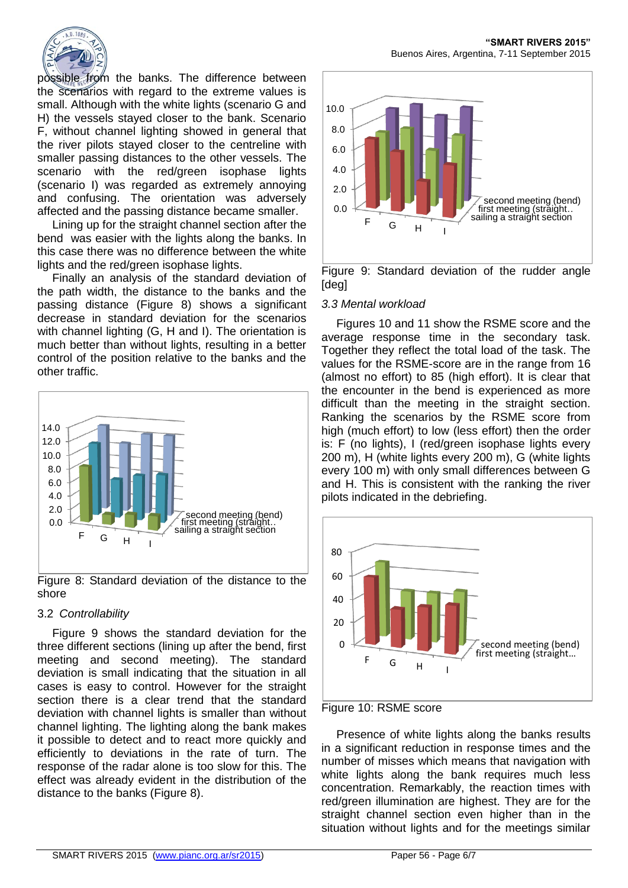

possible from the banks. The difference between the scenarios with regard to the extreme values is small. Although with the white lights (scenario G and H) the vessels stayed closer to the bank. Scenario F, without channel lighting showed in general that the river pilots stayed closer to the centreline with smaller passing distances to the other vessels. The scenario with the red/green isophase lights (scenario I) was regarded as extremely annoying and confusing. The orientation was adversely affected and the passing distance became smaller.

Lining up for the straight channel section after the bend was easier with the lights along the banks. In this case there was no difference between the white lights and the red/green isophase lights.

Finally an analysis of the standard deviation of the path width, the distance to the banks and the passing distance (Figure 8) shows a significant decrease in standard deviation for the scenarios with channel lighting (G, H and I). The orientation is much better than without lights, resulting in a better control of the position relative to the banks and the other traffic.



Figure 8: Standard deviation of the distance to the shore

# 3.2 *Controllability*

Figure 9 shows the standard deviation for the three different sections (lining up after the bend, first meeting and second meeting). The standard deviation is small indicating that the situation in all cases is easy to control. However for the straight section there is a clear trend that the standard deviation with channel lights is smaller than without channel lighting. The lighting along the bank makes it possible to detect and to react more quickly and efficiently to deviations in the rate of turn. The response of the radar alone is too slow for this. The effect was already evident in the distribution of the distance to the banks (Figure 8).

**"SMART RIVERS 2015"** Buenos Aires, Argentina, 7-11 September 2015



Figure 9: Standard deviation of the rudder angle [deg]

## *3.3 Mental workload*

Figures 10 and 11 show the RSME score and the average response time in the secondary task. Together they reflect the total load of the task. The values for the RSME-score are in the range from 16 (almost no effort) to 85 (high effort). It is clear that the encounter in the bend is experienced as more difficult than the meeting in the straight section. Ranking the scenarios by the RSME score from high (much effort) to low (less effort) then the order is: F (no lights), I (red/green isophase lights every 200 m), H (white lights every 200 m), G (white lights every 100 m) with only small differences between G and H. This is consistent with the ranking the river pilots indicated in the debriefing.





Presence of white lights along the banks results in a significant reduction in response times and the number of misses which means that navigation with white lights along the bank requires much less concentration. Remarkably, the reaction times with red/green illumination are highest. They are for the straight channel section even higher than in the situation without lights and for the meetings similar